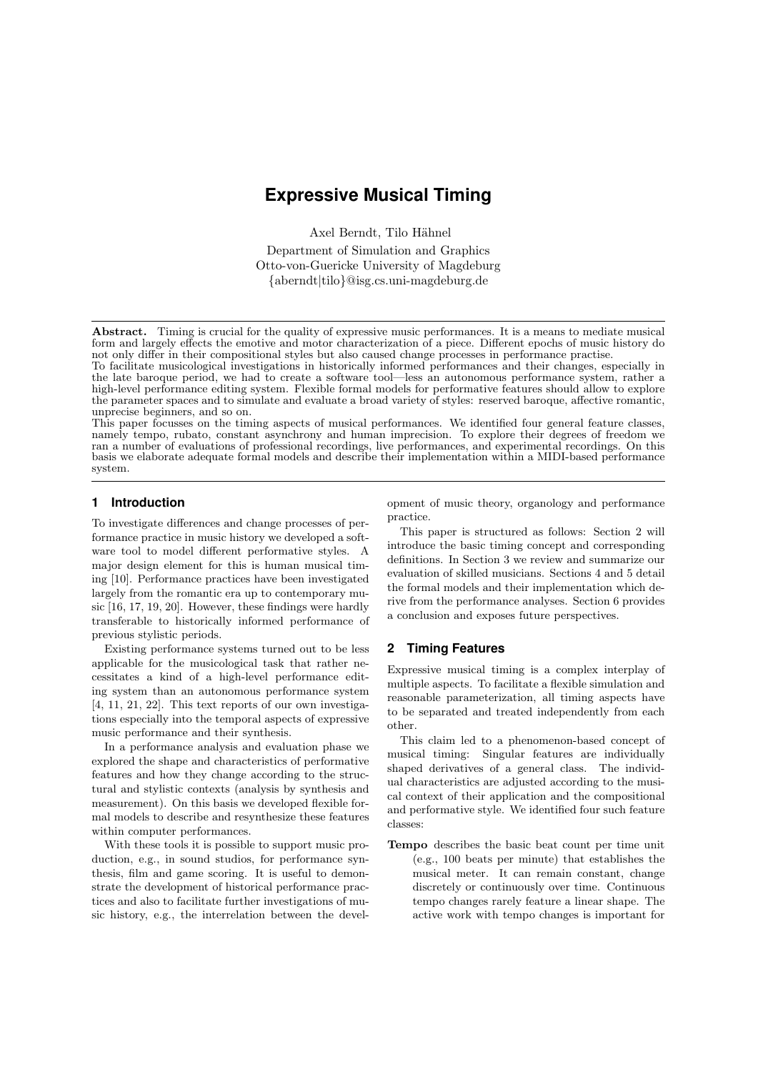# **Expressive Musical Timing**

Axel Berndt, Tilo Hähnel

Department of Simulation and Graphics Otto-von-Guericke University of Magdeburg {aberndt|tilo}@isg.cs.uni-magdeburg.de

Abstract. Timing is crucial for the quality of expressive music performances. It is a means to mediate musical form and largely effects the emotive and motor characterization of a piece. Different epochs of music history do not only differ in their compositional styles but also caused change processes in performance practise.

To facilitate musicological investigations in historically informed performances and their changes, especially in the late baroque period, we had to create a software tool—less an autonomous performance system, rather a high-level performance editing system. Flexible formal models for performative features should allow to explore the parameter spaces and to simulate and evaluate a broad variety of styles: reserved baroque, affective romantic, unprecise beginners, and so on.

This paper focusses on the timing aspects of musical performances. We identified four general feature classes, namely tempo, rubato, constant asynchrony and human imprecision. To explore their degrees of freedom we ran a number of evaluations of professional recordings, live performances, and experimental recordings. On this basis we elaborate adequate formal models and describe their implementation within a MIDI-based performance system.

## **1 Introduction**

To investigate differences and change processes of performance practice in music history we developed a software tool to model different performative styles. A major design element for this is human musical timing [10]. Performance practices have been investigated largely from the romantic era up to contemporary music [16, 17, 19, 20]. However, these findings were hardly transferable to historically informed performance of previous stylistic periods.

Existing performance systems turned out to be less applicable for the musicological task that rather necessitates a kind of a high-level performance editing system than an autonomous performance system [4, 11, 21, 22]. This text reports of our own investigations especially into the temporal aspects of expressive music performance and their synthesis.

In a performance analysis and evaluation phase we explored the shape and characteristics of performative features and how they change according to the structural and stylistic contexts (analysis by synthesis and measurement). On this basis we developed flexible formal models to describe and resynthesize these features within computer performances.

With these tools it is possible to support music production, e.g., in sound studios, for performance synthesis, film and game scoring. It is useful to demonstrate the development of historical performance practices and also to facilitate further investigations of music history, e.g., the interrelation between the development of music theory, organology and performance practice.

This paper is structured as follows: Section 2 will introduce the basic timing concept and corresponding definitions. In Section 3 we review and summarize our evaluation of skilled musicians. Sections 4 and 5 detail the formal models and their implementation which derive from the performance analyses. Section 6 provides a conclusion and exposes future perspectives.

# **2 Timing Features**

Expressive musical timing is a complex interplay of multiple aspects. To facilitate a flexible simulation and reasonable parameterization, all timing aspects have to be separated and treated independently from each other.

This claim led to a phenomenon-based concept of musical timing: Singular features are individually shaped derivatives of a general class. The individual characteristics are adjusted according to the musical context of their application and the compositional and performative style. We identified four such feature classes:

Tempo describes the basic beat count per time unit (e.g., 100 beats per minute) that establishes the musical meter. It can remain constant, change discretely or continuously over time. Continuous tempo changes rarely feature a linear shape. The active work with tempo changes is important for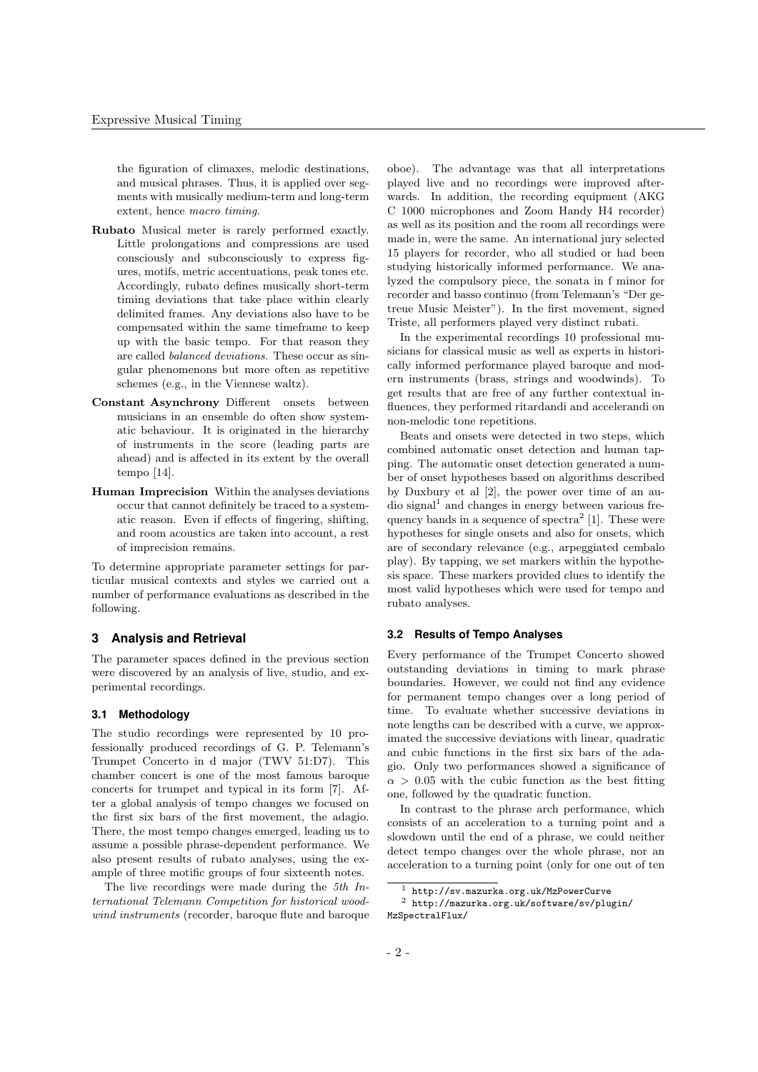the figuration of climaxes, melodic destinations, and musical phrases. Thus, it is applied over segments with musically medium-term and long-term extent, hence macro timing.

- Rubato Musical meter is rarely performed exactly. Little prolongations and compressions are used consciously and subconsciously to express figures, motifs, metric accentuations, peak tones etc. Accordingly, rubato defines musically short-term timing deviations that take place within clearly delimited frames. Any deviations also have to be compensated within the same timeframe to keep up with the basic tempo. For that reason they are called balanced deviations. These occur as singular phenomenons but more often as repetitive schemes (e.g., in the Viennese waltz).
- Constant Asynchrony Different onsets between musicians in an ensemble do often show systematic behaviour. It is originated in the hierarchy of instruments in the score (leading parts are ahead) and is affected in its extent by the overall tempo [14].
- Human Imprecision Within the analyses deviations occur that cannot definitely be traced to a systematic reason. Even if effects of fingering, shifting, and room acoustics are taken into account, a rest of imprecision remains.

To determine appropriate parameter settings for particular musical contexts and styles we carried out a number of performance evaluations as described in the following.

## **3 Analysis and Retrieval**

The parameter spaces defined in the previous section were discovered by an analysis of live, studio, and experimental recordings.

## **3.1 Methodology**

The studio recordings were represented by 10 professionally produced recordings of G. P. Telemann's Trumpet Concerto in d major (TWV 51:D7). This chamber concert is one of the most famous baroque concerts for trumpet and typical in its form [7]. After a global analysis of tempo changes we focused on the first six bars of the first movement, the adagio. There, the most tempo changes emerged, leading us to assume a possible phrase-dependent performance. We also present results of rubato analyses, using the example of three motific groups of four sixteenth notes.

The live recordings were made during the 5th International Telemann Competition for historical woodwind instruments (recorder, baroque flute and baroque oboe). The advantage was that all interpretations played live and no recordings were improved afterwards. In addition, the recording equipment (AKG) C 1000 microphones and Zoom Handy H4 recorder) as well as its position and the room all recordings were made in, were the same. An international jury selected 15 players for recorder, who all studied or had been studying historically informed performance. We analyzed the compulsory piece, the sonata in f minor for recorder and basso continuo (from Telemann's "Der getreue Music Meister"). In the first movement, signed Triste, all performers played very distinct rubati.

In the experimental recordings 10 professional musicians for classical music as well as experts in historically informed performance played baroque and modern instruments (brass, strings and woodwinds). To get results that are free of any further contextual influences, they performed ritardandi and accelerandi on non-melodic tone repetitions.

Beats and onsets were detected in two steps, which combined automatic onset detection and human tapping. The automatic onset detection generated a number of onset hypotheses based on algorithms described by Duxbury et al [2], the power over time of an au- $\alpha$  dio signal<sup>1</sup> and changes in energy between various frequency bands in a sequence of spectra<sup>2</sup> [1]. These were hypotheses for single onsets and also for onsets, which are of secondary relevance (e.g., arpeggiated cembalo play). By tapping, we set markers within the hypothesis space. These markers provided clues to identify the most valid hypotheses which were used for tempo and rubato analyses.

### **3.2 Results of Tempo Analyses**

Every performance of the Trumpet Concerto showed outstanding deviations in timing to mark phrase boundaries. However, we could not find any evidence for permanent tempo changes over a long period of time. To evaluate whether successive deviations in note lengths can be described with a curve, we approximated the successive deviations with linear, quadratic and cubic functions in the first six bars of the adagio. Only two performances showed a significance of  $\alpha > 0.05$  with the cubic function as the best fitting one, followed by the quadratic function.

In contrast to the phrase arch performance, which consists of an acceleration to a turning point and a slowdown until the end of a phrase, we could neither detect tempo changes over the whole phrase, nor an acceleration to a turning point (only for one out of ten

<sup>1</sup> http://sv.mazurka.org.uk/MzPowerCurve

<sup>2</sup> http://mazurka.org.uk/software/sv/plugin/ MzSpectralFlux/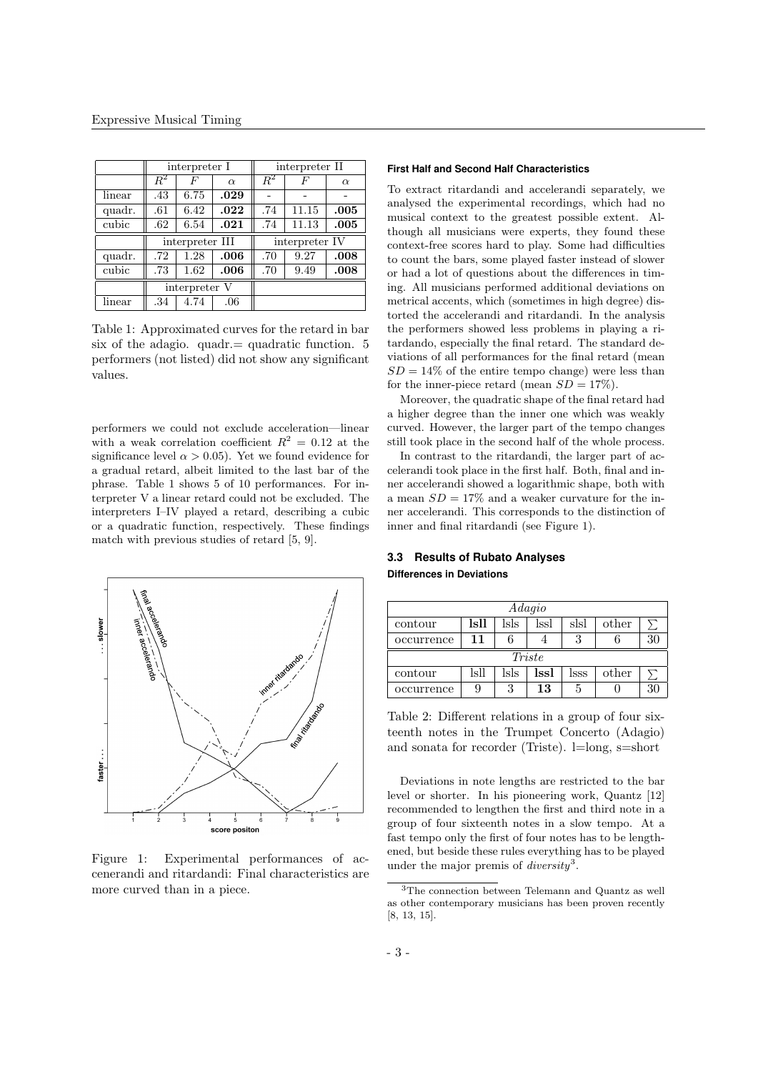|        | interpreter I   |               |          | interpreter II |       |          |
|--------|-----------------|---------------|----------|----------------|-------|----------|
|        | $\,R^2$         | F             | $\alpha$ | $R^2$          | F     | $\alpha$ |
| linear | .43             | 6.75          | .029     |                |       |          |
| quadr. | .61             | 6.42          | .022     | .74            | 11.15 | .005     |
| cubic  | .62             | 6.54          | .021     | .74            | 11.13 | .005     |
|        | interpreter III |               |          | interpreter IV |       |          |
| quadr. | .72             | 1.28          | .006     | .70            | 9.27  | .008     |
|        |                 |               | .006     |                |       |          |
| cubic  | .73             | 1.62          |          | .70            | 9.49  | .008     |
|        |                 | interpreter V |          |                |       |          |
| linear | .34             | 4.74          | .06      |                |       |          |

Table 1: Approximated curves for the retard in bar six of the adagio. quadrequadratic function.  $5$ performers (not listed) did not show any significant values.

performers we could not exclude acceleration—linear with a weak correlation coefficient  $R^2 = 0.12$  at the significance level  $\alpha > 0.05$ . Yet we found evidence for a gradual retard, albeit limited to the last bar of the phrase. Table 1 shows 5 of 10 performances. For interpreter V a linear retard could not be excluded. The interpreters I–IV played a retard, describing a cubic or a quadratic function, respectively. These findings match with previous studies of retard [5, 9].



Figure 1: Experimental performances of accenerandi and ritardandi: Final characteristics are more curved than in a piece.

# **First Half and Second Half Characteristics**

To extract ritardandi and accelerandi separately, we analysed the experimental recordings, which had no musical context to the greatest possible extent. Although all musicians were experts, they found these context-free scores hard to play. Some had difficulties to count the bars, some played faster instead of slower or had a lot of questions about the differences in timing. All musicians performed additional deviations on metrical accents, which (sometimes in high degree) distorted the accelerandi and ritardandi. In the analysis the performers showed less problems in playing a ritardando, especially the final retard. The standard deviations of all performances for the final retard (mean  $SD = 14\%$  of the entire tempo change) were less than for the inner-piece retard (mean  $SD = 17\%$ ).

Moreover, the quadratic shape of the final retard had a higher degree than the inner one which was weakly curved. However, the larger part of the tempo changes still took place in the second half of the whole process.

In contrast to the ritardandi, the larger part of accelerandi took place in the first half. Both, final and inner accelerandi showed a logarithmic shape, both with a mean  $SD = 17\%$  and a weaker curvature for the inner accelerandi. This corresponds to the distinction of inner and final ritardandi (see Figure 1).

# **3.3 Results of Rubato Analyses Differences in Deviations**

| Adagio     |      |      |      |      |       |  |  |
|------------|------|------|------|------|-------|--|--|
| contour    | lsll | lsls | lssl | sk   | other |  |  |
| occurrence | 11   |      |      | 3    |       |  |  |
| Triste     |      |      |      |      |       |  |  |
| contour    | 1s11 | lsls | lssl | lsss | other |  |  |
| occurrence | 9    | З    | 13   | 5    |       |  |  |

Table 2: Different relations in a group of four sixteenth notes in the Trumpet Concerto (Adagio) and sonata for recorder (Triste). l=long, s=short

Deviations in note lengths are restricted to the bar level or shorter. In his pioneering work, Quantz [12] recommended to lengthen the first and third note in a group of four sixteenth notes in a slow tempo. At a fast tempo only the first of four notes has to be lengthened, but beside these rules everything has to be played under the major premis of *diversity*<sup>3</sup>.

<sup>3</sup>The connection between Telemann and Quantz as well as other contemporary musicians has been proven recently [8, 13, 15].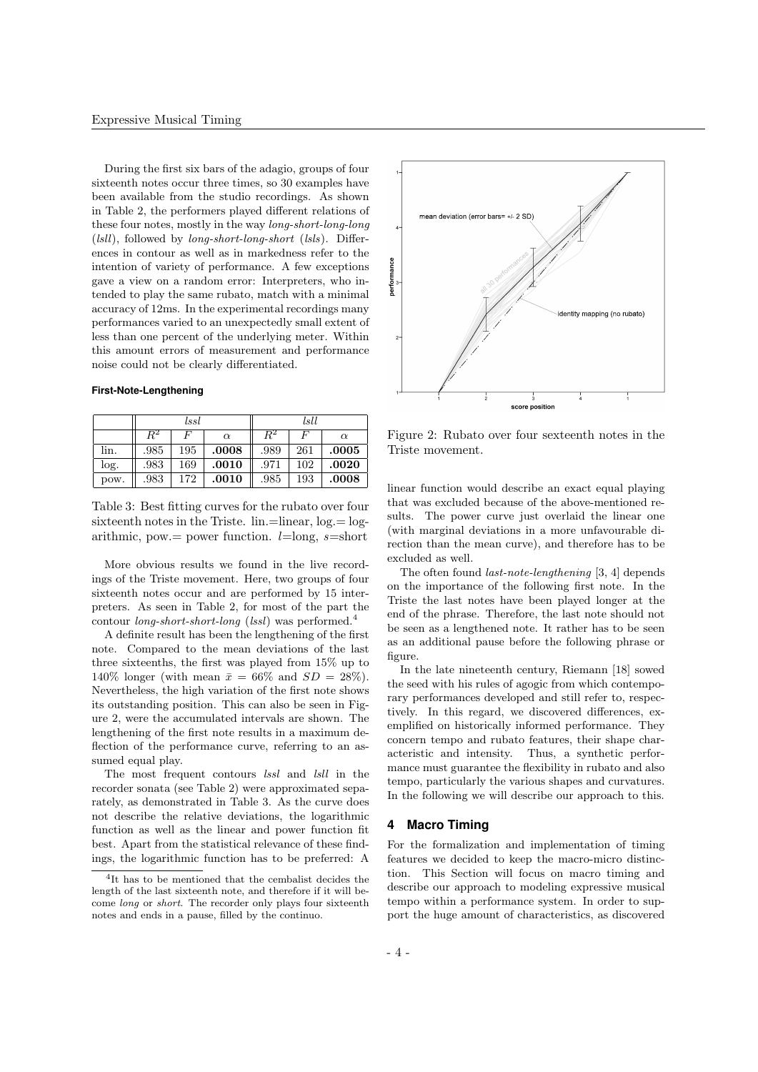During the first six bars of the adagio, groups of four sixteenth notes occur three times, so 30 examples have been available from the studio recordings. As shown in Table 2, the performers played different relations of these four notes, mostly in the way long-short-long-long  $(lsll)$ , followed by *long-short-long-short* (*lsls*). Differences in contour as well as in markedness refer to the intention of variety of performance. A few exceptions gave a view on a random error: Interpreters, who intended to play the same rubato, match with a minimal accuracy of 12ms. In the experimental recordings many performances varied to an unexpectedly small extent of less than one percent of the underlying meter. Within this amount errors of measurement and performance noise could not be clearly differentiated.

#### **First-Note-Lengthening**

|      | lssl        |     |          | lsll    |     |          |
|------|-------------|-----|----------|---------|-----|----------|
|      | $\bar{R}^2$ | F   | $\alpha$ | $R^2\,$ | F   | $\alpha$ |
| lin. | .985        | 195 | .0008    | .989    | 261 | .0005    |
| log. | .983        | 169 | .0010    | .971    | 102 | .0020    |
| pow. | .983        | 172 | .0010    | .985    | 193 | .0008    |

Table 3: Best fitting curves for the rubato over four sixteenth notes in the Triste.  $lin = linear$ ,  $log = log$ arithmic, pow.= power function.  $l=\text{long}, s=\text{short}$ 

More obvious results we found in the live recordings of the Triste movement. Here, two groups of four sixteenth notes occur and are performed by 15 interpreters. As seen in Table 2, for most of the part the contour *long-short-short-long* (*lssl*) was performed.<sup>4</sup>

A definite result has been the lengthening of the first note. Compared to the mean deviations of the last three sixteenths, the first was played from 15% up to 140% longer (with mean  $\bar{x} = 66\%$  and  $SD = 28\%$ ). Nevertheless, the high variation of the first note shows its outstanding position. This can also be seen in Figure 2, were the accumulated intervals are shown. The lengthening of the first note results in a maximum deflection of the performance curve, referring to an assumed equal play.

The most frequent contours lssl and lsll in the recorder sonata (see Table 2) were approximated separately, as demonstrated in Table 3. As the curve does not describe the relative deviations, the logarithmic function as well as the linear and power function fit best. Apart from the statistical relevance of these findings, the logarithmic function has to be preferred: A



Figure 2: Rubato over four sexteenth notes in the Triste movement.

linear function would describe an exact equal playing that was excluded because of the above-mentioned results. The power curve just overlaid the linear one (with marginal deviations in a more unfavourable direction than the mean curve), and therefore has to be excluded as well.

The often found last-note-lengthening [3, 4] depends on the importance of the following first note. In the Triste the last notes have been played longer at the end of the phrase. Therefore, the last note should not be seen as a lengthened note. It rather has to be seen as an additional pause before the following phrase or figure.

In the late nineteenth century, Riemann [18] sowed the seed with his rules of agogic from which contemporary performances developed and still refer to, respectively. In this regard, we discovered differences, exemplified on historically informed performance. They concern tempo and rubato features, their shape characteristic and intensity. Thus, a synthetic performance must guarantee the flexibility in rubato and also tempo, particularly the various shapes and curvatures. In the following we will describe our approach to this.

# **4 Macro Timing**

For the formalization and implementation of timing features we decided to keep the macro-micro distinction. This Section will focus on macro timing and describe our approach to modeling expressive musical tempo within a performance system. In order to support the huge amount of characteristics, as discovered

<sup>4</sup> It has to be mentioned that the cembalist decides the length of the last sixteenth note, and therefore if it will become long or short. The recorder only plays four sixteenth notes and ends in a pause, filled by the continuo.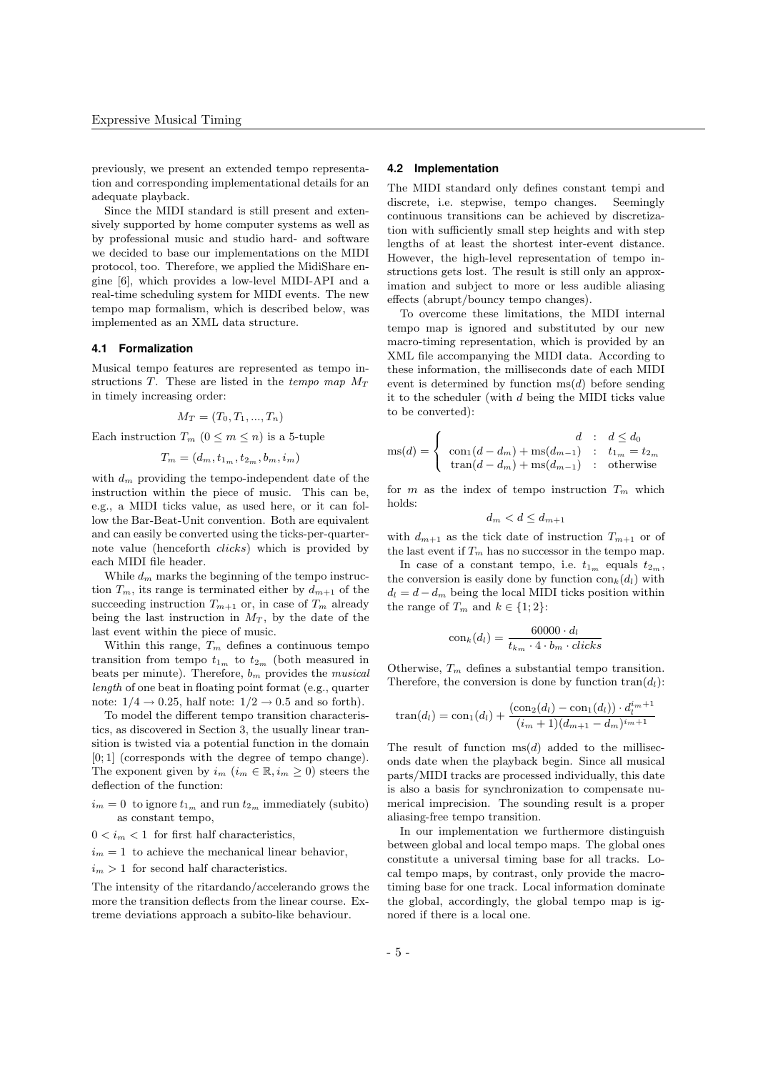previously, we present an extended tempo representation and corresponding implementational details for an adequate playback.

Since the MIDI standard is still present and extensively supported by home computer systems as well as by professional music and studio hard- and software we decided to base our implementations on the MIDI protocol, too. Therefore, we applied the MidiShare engine [6], which provides a low-level MIDI-API and a real-time scheduling system for MIDI events. The new tempo map formalism, which is described below, was implemented as an XML data structure.

#### **4.1 Formalization**

Musical tempo features are represented as tempo instructions T. These are listed in the tempo map  $M_T$ in timely increasing order:

$$
M_T = (T_0, T_1, \ldots, T_n)
$$

Each instruction  $T_m$   $(0 \leq m \leq n)$  is a 5-tuple

$$
T_m = (d_m, t_{1_m}, t_{2_m}, b_m, i_m)
$$

with  $d_m$  providing the tempo-independent date of the instruction within the piece of music. This can be, e.g., a MIDI ticks value, as used here, or it can follow the Bar-Beat-Unit convention. Both are equivalent and can easily be converted using the ticks-per-quarternote value (henceforth clicks) which is provided by each MIDI file header.

While  $d_m$  marks the beginning of the tempo instruction  $T_m$ , its range is terminated either by  $d_{m+1}$  of the succeeding instruction  $T_{m+1}$  or, in case of  $T_m$  already being the last instruction in  $M_T$ , by the date of the last event within the piece of music.

Within this range,  $T_m$  defines a continuous tempo transition from tempo  $t_{1m}$  to  $t_{2m}$  (both measured in beats per minute). Therefore,  $b_m$  provides the *musical* length of one beat in floating point format (e.g., quarter note:  $1/4 \rightarrow 0.25$ , half note:  $1/2 \rightarrow 0.5$  and so forth).

To model the different tempo transition characteristics, as discovered in Section 3, the usually linear transition is twisted via a potential function in the domain [0; 1] (corresponds with the degree of tempo change). The exponent given by  $i_m$   $(i_m \in \mathbb{R}, i_m \geq 0)$  steers the deflection of the function:

- $i_m = 0$  to ignore  $t_{1_m}$  and run  $t_{2_m}$  immediately (subito) as constant tempo,
- $0 < i<sub>m</sub> < 1$  for first half characteristics,
- $i_m = 1$  to achieve the mechanical linear behavior,
- $i_m > 1$  for second half characteristics.

The intensity of the ritardando/accelerando grows the more the transition deflects from the linear course. Extreme deviations approach a subito-like behaviour.

#### **4.2 Implementation**

The MIDI standard only defines constant tempi and discrete, i.e. stepwise, tempo changes. Seemingly continuous transitions can be achieved by discretization with sufficiently small step heights and with step lengths of at least the shortest inter-event distance. However, the high-level representation of tempo instructions gets lost. The result is still only an approximation and subject to more or less audible aliasing effects (abrupt/bouncy tempo changes).

To overcome these limitations, the MIDI internal tempo map is ignored and substituted by our new macro-timing representation, which is provided by an XML file accompanying the MIDI data. According to these information, the milliseconds date of each MIDI event is determined by function  $ms(d)$  before sending it to the scheduler (with d being the MIDI ticks value to be converted):

$$
ms(d) = \begin{cases} d & \text{: } d \leq d_0 \\ con_1(d - d_m) + ms(d_{m-1}) & \text{: } t_{1_m} = t_{2_m} \\ tran(d - d_m) + ms(d_{m-1}) & \text{: } otherwise \end{cases}
$$

for m as the index of tempo instruction  $T_m$  which holds:

$$
d_m < d \le d_{m+1}
$$

with  $d_{m+1}$  as the tick date of instruction  $T_{m+1}$  or of the last event if  $T_m$  has no successor in the tempo map.

In case of a constant tempo, i.e.  $t_{1_m}$  equals  $t_{2_m}$ , the conversion is easily done by function  $\text{con}_k(d_l)$  with  $d_l = d - d_m$  being the local MIDI ticks position within the range of  $T_m$  and  $k \in \{1, 2\}$ :

$$
\text{con}_k(d_l) = \frac{60000 \cdot d_l}{t_{k_m} \cdot 4 \cdot b_m \cdot clicks}
$$

Otherwise,  $T_m$  defines a substantial tempo transition. Therefore, the conversion is done by function  $tran(d<sub>l</sub>)$ :

$$
\text{tran}(d_l) = \text{con}_1(d_l) + \frac{(\text{con}_2(d_l) - \text{con}_1(d_l)) \cdot d_l^{i_m+1}}{(i_m+1)(d_{m+1} - d_m)^{i_m+1}}
$$

The result of function  $ms(d)$  added to the milliseconds date when the playback begin. Since all musical parts/MIDI tracks are processed individually, this date is also a basis for synchronization to compensate numerical imprecision. The sounding result is a proper aliasing-free tempo transition.

In our implementation we furthermore distinguish between global and local tempo maps. The global ones constitute a universal timing base for all tracks. Local tempo maps, by contrast, only provide the macrotiming base for one track. Local information dominate the global, accordingly, the global tempo map is ignored if there is a local one.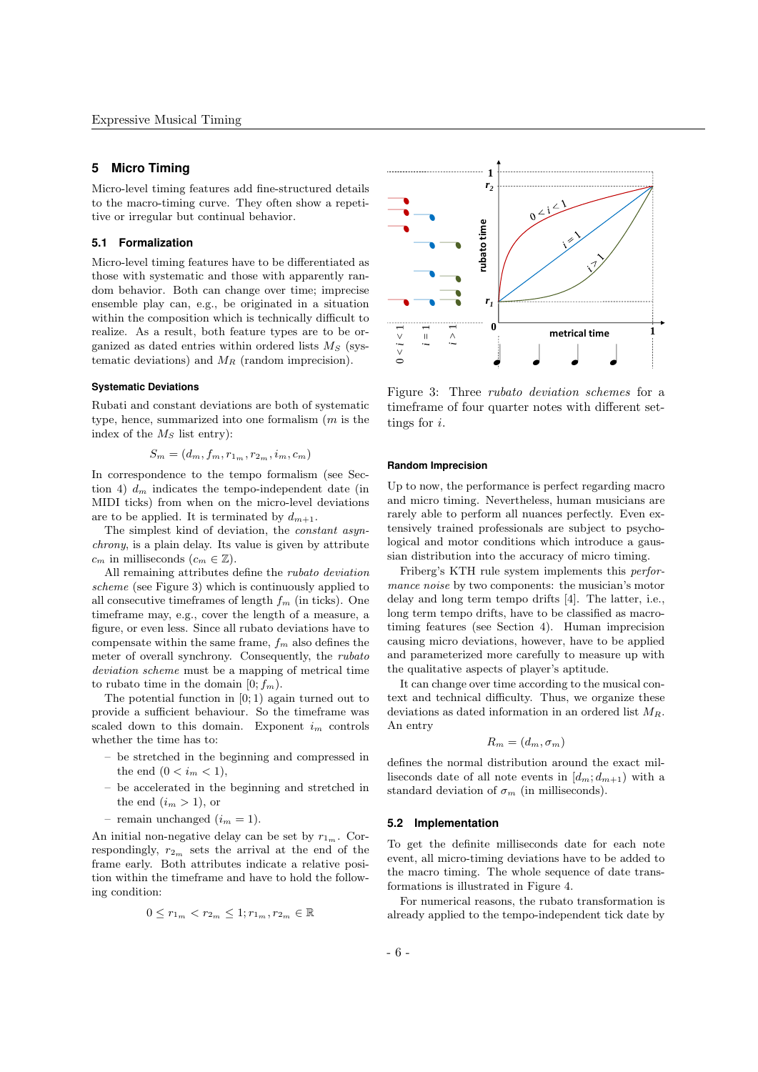# **5 Micro Timing**

Micro-level timing features add fine-structured details to the macro-timing curve. They often show a repetitive or irregular but continual behavior.

## **5.1 Formalization**

Micro-level timing features have to be differentiated as those with systematic and those with apparently random behavior. Both can change over time; imprecise ensemble play can, e.g., be originated in a situation within the composition which is technically difficult to realize. As a result, both feature types are to be organized as dated entries within ordered lists  $M<sub>S</sub>$  (systematic deviations) and  $M_R$  (random imprecision).

# **Systematic Deviations**

Rubati and constant deviations are both of systematic type, hence, summarized into one formalism  $(m \text{ is the})$ index of the  $M<sub>S</sub>$  list entry):

$$
S_m = (d_m, f_m, r_{1_m}, r_{2_m}, i_m, c_m)
$$

In correspondence to the tempo formalism (see Section 4)  $d_m$  indicates the tempo-independent date (in MIDI ticks) from when on the micro-level deviations are to be applied. It is terminated by  $d_{m+1}$ .

The simplest kind of deviation, the constant asynchrony, is a plain delay. Its value is given by attribute  $c_m$  in milliseconds  $(c_m \in \mathbb{Z})$ .

All remaining attributes define the rubato deviation scheme (see Figure 3) which is continuously applied to all consecutive timeframes of length  $f_m$  (in ticks). One timeframe may, e.g., cover the length of a measure, a figure, or even less. Since all rubato deviations have to compensate within the same frame,  $f_m$  also defines the meter of overall synchrony. Consequently, the rubato deviation scheme must be a mapping of metrical time to rubato time in the domain  $[0; f_m)$ .

The potential function in  $[0; 1)$  again turned out to provide a sufficient behaviour. So the timeframe was scaled down to this domain. Exponent  $i_m$  controls whether the time has to:

- be stretched in the beginning and compressed in the end  $(0 < i_m < 1)$ ,
- be accelerated in the beginning and stretched in the end  $(i_m > 1)$ , or
- remain unchanged  $(i_m = 1)$ .

An initial non-negative delay can be set by  $r_{1_m}$ . Correspondingly,  $r_{2m}$  sets the arrival at the end of the frame early. Both attributes indicate a relative position within the timeframe and have to hold the following condition:

$$
0 \leq r_{1_m} < r_{2_m} \leq 1; r_{1_m}, r_{2_m} \in \mathbb{R}
$$



Figure 3: Three rubato deviation schemes for a timeframe of four quarter notes with different settings for i.

#### **Random Imprecision**

Up to now, the performance is perfect regarding macro and micro timing. Nevertheless, human musicians are rarely able to perform all nuances perfectly. Even extensively trained professionals are subject to psychological and motor conditions which introduce a gaussian distribution into the accuracy of micro timing.

Friberg's KTH rule system implements this performance noise by two components: the musician's motor delay and long term tempo drifts [4]. The latter, i.e., long term tempo drifts, have to be classified as macrotiming features (see Section 4). Human imprecision causing micro deviations, however, have to be applied and parameterized more carefully to measure up with the qualitative aspects of player's aptitude.

It can change over time according to the musical context and technical difficulty. Thus, we organize these deviations as dated information in an ordered list  $M_R$ . An entry

$$
R_m=(d_m,\sigma_m)
$$

defines the normal distribution around the exact milliseconds date of all note events in  $[d_m; d_{m+1})$  with a standard deviation of  $\sigma_m$  (in milliseconds).

#### **5.2 Implementation**

To get the definite milliseconds date for each note event, all micro-timing deviations have to be added to the macro timing. The whole sequence of date transformations is illustrated in Figure 4.

For numerical reasons, the rubato transformation is already applied to the tempo-independent tick date by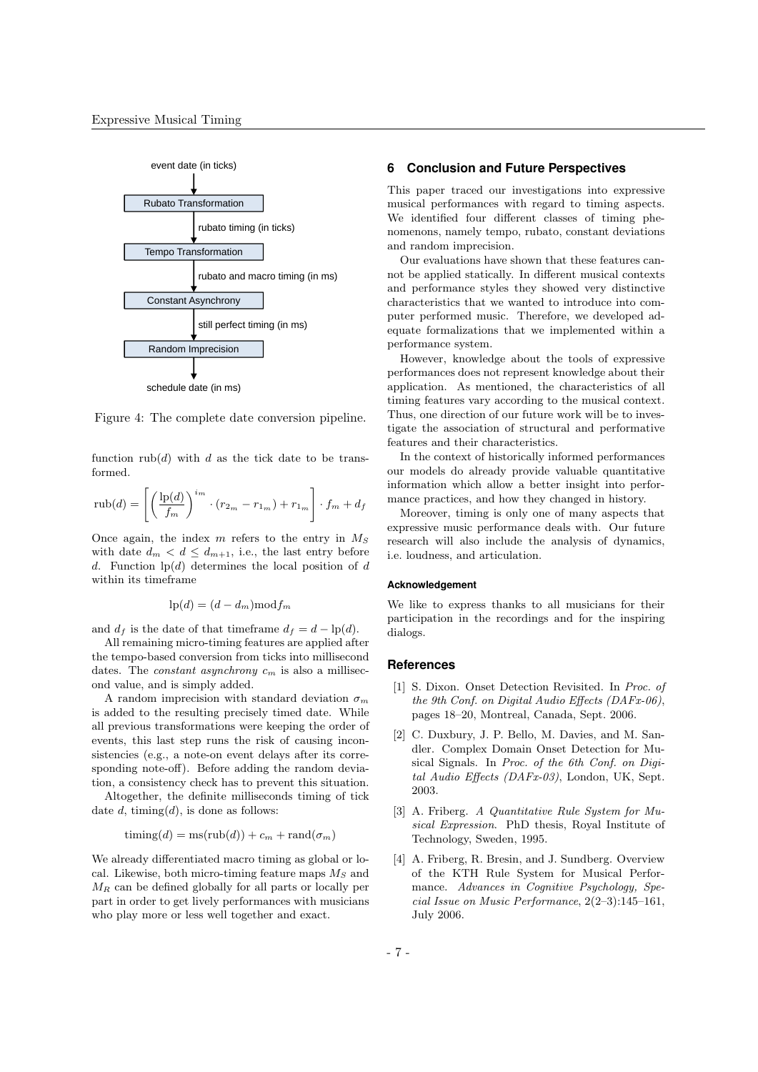

Figure 4: The complete date conversion pipeline.

function  $\text{rub}(d)$  with d as the tick date to be transformed.

$$
\operatorname{rub}(d) = \left[ \left( \frac{\operatorname{lp}(d)}{f_m} \right)^{i_m} \cdot (r_{2_m} - r_{1_m}) + r_{1_m} \right] \cdot f_m + d_f
$$

Once again, the index  $m$  refers to the entry in  $M<sub>S</sub>$ with date  $d_m < d \leq d_{m+1}$ , i.e., the last entry before d. Function  $\ln(d)$  determines the local position of d within its timeframe

$$
lp(d) = (d - d_m) mod f_m
$$

and  $d_f$  is the date of that timeframe  $d_f = d - \ln(d)$ .

All remaining micro-timing features are applied after the tempo-based conversion from ticks into millisecond dates. The *constant asynchrony*  $c_m$  is also a millisecond value, and is simply added.

A random imprecision with standard deviation  $\sigma_m$ is added to the resulting precisely timed date. While all previous transformations were keeping the order of events, this last step runs the risk of causing inconsistencies (e.g., a note-on event delays after its corresponding note-off). Before adding the random deviation, a consistency check has to prevent this situation.

Altogether, the definite milliseconds timing of tick date  $d$ , timing( $d$ ), is done as follows:

$$
\text{timing}(d) = \text{ms}(\text{rub}(d)) + c_m + \text{rand}(\sigma_m)
$$

We already differentiated macro timing as global or local. Likewise, both micro-timing feature maps  $M_S$  and  $M_R$  can be defined globally for all parts or locally per part in order to get lively performances with musicians who play more or less well together and exact.

# **6 Conclusion and Future Perspectives**

This paper traced our investigations into expressive musical performances with regard to timing aspects. We identified four different classes of timing phenomenons, namely tempo, rubato, constant deviations and random imprecision.

Our evaluations have shown that these features cannot be applied statically. In different musical contexts and performance styles they showed very distinctive characteristics that we wanted to introduce into computer performed music. Therefore, we developed adequate formalizations that we implemented within a performance system.

However, knowledge about the tools of expressive performances does not represent knowledge about their application. As mentioned, the characteristics of all timing features vary according to the musical context. Thus, one direction of our future work will be to investigate the association of structural and performative features and their characteristics.

In the context of historically informed performances our models do already provide valuable quantitative information which allow a better insight into performance practices, and how they changed in history.

Moreover, timing is only one of many aspects that expressive music performance deals with. Our future research will also include the analysis of dynamics, i.e. loudness, and articulation.

#### **Acknowledgement**

We like to express thanks to all musicians for their participation in the recordings and for the inspiring dialogs.

#### **References**

- [1] S. Dixon. Onset Detection Revisited. In Proc. of the 9th Conf. on Digital Audio Effects (DAFx-06), pages 18–20, Montreal, Canada, Sept. 2006.
- [2] C. Duxbury, J. P. Bello, M. Davies, and M. Sandler. Complex Domain Onset Detection for Musical Signals. In Proc. of the 6th Conf. on Digital Audio Effects (DAFx-03), London, UK, Sept. 2003.
- [3] A. Friberg. A Quantitative Rule System for Musical Expression. PhD thesis, Royal Institute of Technology, Sweden, 1995.
- [4] A. Friberg, R. Bresin, and J. Sundberg. Overview of the KTH Rule System for Musical Performance. Advances in Cognitive Psychology, Special Issue on Music Performance, 2(2–3):145–161, July 2006.